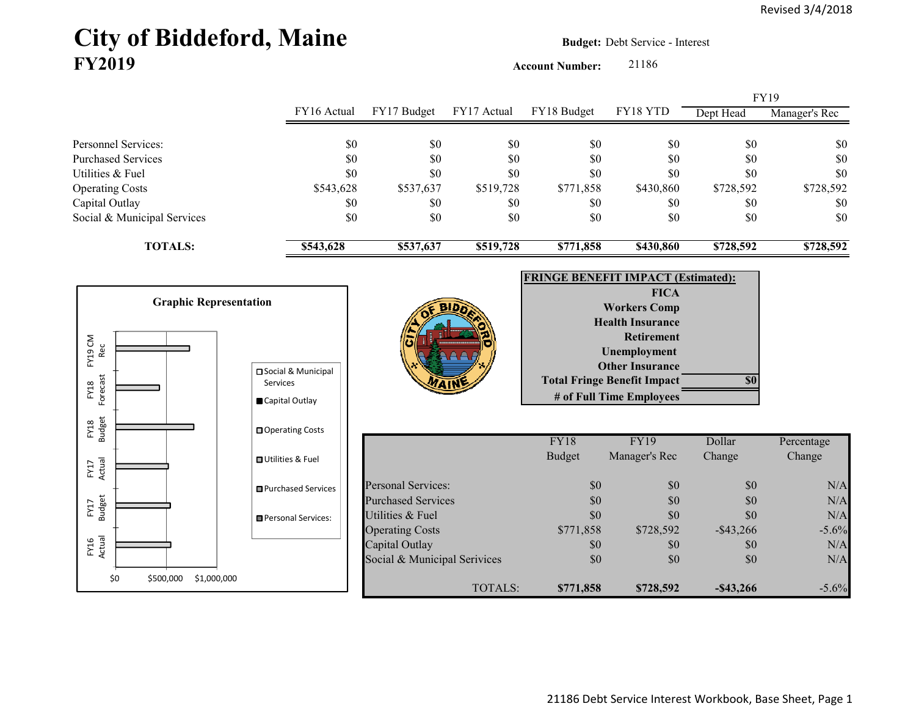## City of Biddeford, Maine **Budget: Debt Service - Interest FY2019**

**Account Number:** 21186

|                             |             |             |             |             |           | <b>FY19</b> |               |
|-----------------------------|-------------|-------------|-------------|-------------|-----------|-------------|---------------|
|                             | FY16 Actual | FY17 Budget | FY17 Actual | FY18 Budget | FY18 YTD  | Dept Head   | Manager's Rec |
|                             |             |             |             |             |           |             |               |
| <b>Personnel Services:</b>  | \$0         | \$0         | \$0         | \$0         | \$0       | \$0         | \$0           |
| <b>Purchased Services</b>   | \$0         | \$0         | \$0         | \$0         | \$0       | \$0         | \$0           |
| Utilities & Fuel            | \$0         | \$0         | \$0         | \$0         | \$0       | \$0         | \$0           |
| <b>Operating Costs</b>      | \$543,628   | \$537,637   | \$519,728   | \$771,858   | \$430,860 | \$728,592   | \$728,592     |
| Capital Outlay              | \$0         | \$0         | \$0         | \$0         | \$0       | \$0         | <b>SO</b>     |
| Social & Municipal Services | \$0         | \$0         | \$0         | \$0         | \$0       | \$0         | \$0           |
| <b>TOTALS:</b>              | \$543,628   | \$537,637   | \$519,728   | \$771,858   | \$430,860 | \$728,592   | \$728,592     |

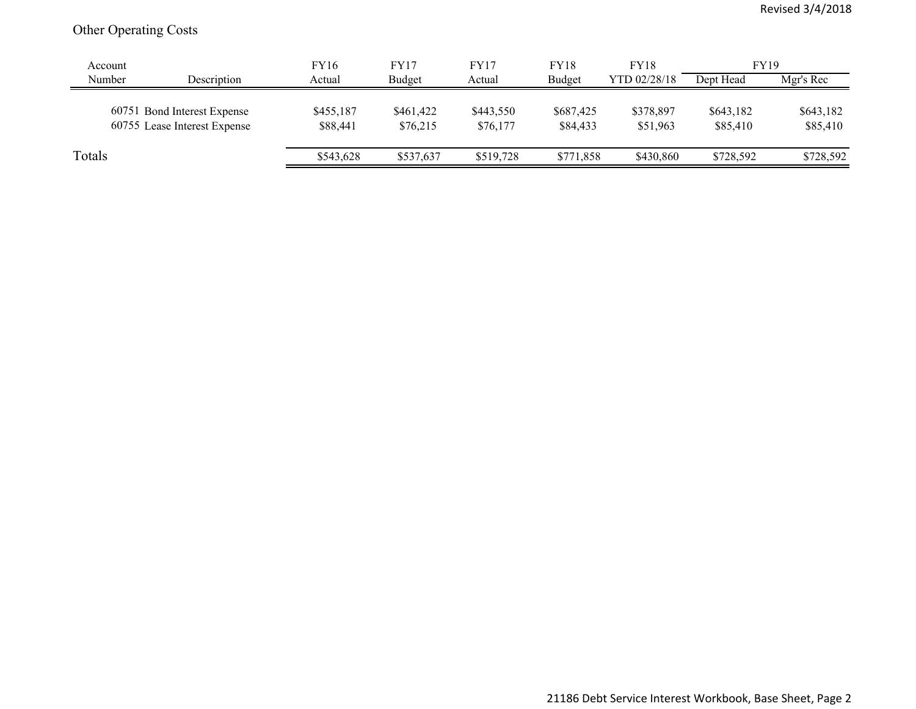## Other Operating Costs

| Account |                                                             | <b>FY16</b>           | FY17                  | FY17                  | <b>FY18</b>           | <b>FY18</b>           | <b>FY19</b>           |                       |
|---------|-------------------------------------------------------------|-----------------------|-----------------------|-----------------------|-----------------------|-----------------------|-----------------------|-----------------------|
| Number  | Description                                                 | Actual                | Budget                | Actual                | <b>Budget</b>         | YTD 02/28/18          | Dept Head             | Mgr's Rec             |
|         | 60751 Bond Interest Expense<br>60755 Lease Interest Expense | \$455,187<br>\$88,441 | \$461,422<br>\$76,215 | \$443,550<br>\$76,177 | \$687,425<br>\$84,433 | \$378,897<br>\$51,963 | \$643,182<br>\$85,410 | \$643,182<br>\$85,410 |
| Totals  |                                                             | \$543,628             | \$537,637             | \$519,728             | \$771,858             | \$430,860             | \$728,592             | \$728,592             |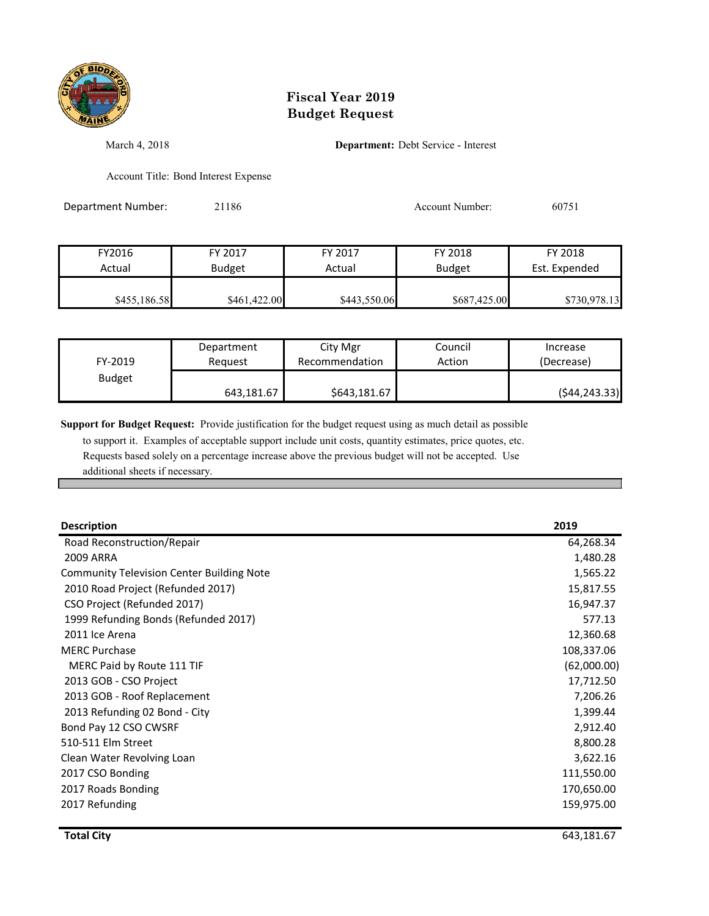

## **Fiscal Year 2019 Budget Request**

March 4, 2018 **Department:** Debt Service - Interest

Account Title: Bond Interest Expense

| Department Number: | 21186         |              | Account Number: | 60751         |
|--------------------|---------------|--------------|-----------------|---------------|
|                    |               |              |                 |               |
| FY2016             | FY 2017       | FY 2017      | FY 2018         | FY 2018       |
| Actual             | <b>Budget</b> | Actual       | <b>Budget</b>   | Est. Expended |
| \$455,186.58       | \$461,422.00  | \$443,550.06 | \$687,425.00    | \$730,978.13  |

| FY-2019       | Department | City Mgr       | Council | Increase      |
|---------------|------------|----------------|---------|---------------|
|               | Reauest    | Recommendation | Action  | (Decrease)    |
| <b>Budget</b> | 643,181.67 | \$643,181.67   |         | (544, 243.33) |

**Support for Budget Request:** Provide justification for the budget request using as much detail as possible

 to support it. Examples of acceptable support include unit costs, quantity estimates, price quotes, etc. Requests based solely on a percentage increase above the previous budget will not be accepted. Use additional sheets if necessary.

| <b>Description</b>                               | 2019        |
|--------------------------------------------------|-------------|
| Road Reconstruction/Repair                       | 64,268.34   |
| 2009 ARRA                                        | 1,480.28    |
| <b>Community Television Center Building Note</b> | 1,565.22    |
| 2010 Road Project (Refunded 2017)                | 15,817.55   |
| CSO Project (Refunded 2017)                      | 16,947.37   |
| 1999 Refunding Bonds (Refunded 2017)             | 577.13      |
| 2011 Ice Arena                                   | 12,360.68   |
| <b>MERC Purchase</b>                             | 108,337.06  |
| MERC Paid by Route 111 TIF                       | (62,000.00) |
| 2013 GOB - CSO Project                           | 17,712.50   |
| 2013 GOB - Roof Replacement                      | 7,206.26    |
| 2013 Refunding 02 Bond - City                    | 1,399.44    |
| Bond Pay 12 CSO CWSRF                            | 2,912.40    |
| 510-511 Elm Street                               | 8,800.28    |
| Clean Water Revolving Loan                       | 3,622.16    |
| 2017 CSO Bonding                                 | 111,550.00  |
| 2017 Roads Bonding                               | 170,650.00  |
| 2017 Refunding                                   | 159,975.00  |